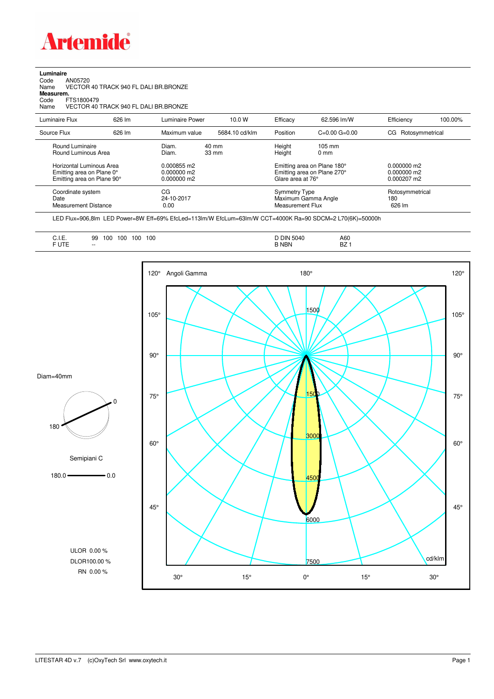

**Luminaire**<br>Code<br>Name Code AN05720 Name VECTOR 40 TRACK 940 FL DALI BR.BRONZE

**Measurem.**

Code FTS1800479 Name VECTOR 40 TRACK 940 FL DALI BR.BRONZE

| Luminaire Flux                                                                                                                | 626 lm | Luminaire Power                                                 | 10.0 W                   | Efficacy                              | 62.596 lm/W                                                                                      | Efficiency                                      | 100.00% |
|-------------------------------------------------------------------------------------------------------------------------------|--------|-----------------------------------------------------------------|--------------------------|---------------------------------------|--------------------------------------------------------------------------------------------------|-------------------------------------------------|---------|
| Source Flux                                                                                                                   | 626 lm | Maximum value                                                   | 5684.10 cd/klm           | Position                              | $C=0.00$ $G=0.00$                                                                                | Rotosymmetrical<br>CG                           |         |
| Round Luminaire<br>Round Luminous Area<br>Horizontal Luminous Area<br>Emitting area on Plane 0°<br>Emitting area on Plane 90° |        | Diam.<br>Diam.<br>0.000855 m2<br>$0.000000$ m2<br>$0.000000$ m2 | 40 mm<br>$33 \text{ mm}$ | Height<br>Height<br>Glare area at 76° | $105 \text{ mm}$<br>$0 \text{ mm}$<br>Emitting area on Plane 180°<br>Emitting area on Plane 270° | $0.000000$ m2<br>$0.000000$ m2<br>$0.000207$ m2 |         |
| Coordinate system<br>Date<br>Measurement Distance                                                                             |        | CG<br>24-10-2017<br>0.00                                        |                          | Symmetry Type<br>Measurement Flux     | Maximum Gamma Angle                                                                              | Rotosymmetrical<br>180<br>626 lm                |         |

LED Flux=906,8lm LED Power=8W Eff=69% EfcLed=113lm/W EfcLum=63lm/W CCT=4000K Ra=90 SDCM=2 L70(6K)=50000h